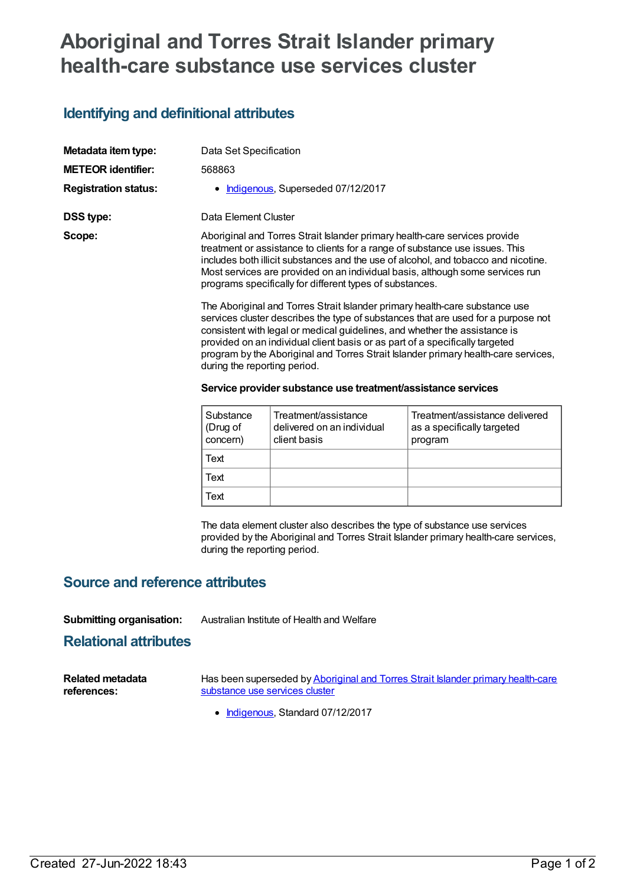# **Aboriginal and Torres Strait Islander primary health-care substance use services cluster**

## **Identifying and definitional attributes**

| Metadata item type:         | Data Set Specification                                                                                                                                                                                                                                                                                                                                                                                                                                                                                               |                                   |                                |  |  |
|-----------------------------|----------------------------------------------------------------------------------------------------------------------------------------------------------------------------------------------------------------------------------------------------------------------------------------------------------------------------------------------------------------------------------------------------------------------------------------------------------------------------------------------------------------------|-----------------------------------|--------------------------------|--|--|
| <b>METEOR identifier:</b>   | 568863                                                                                                                                                                                                                                                                                                                                                                                                                                                                                                               |                                   |                                |  |  |
| <b>Registration status:</b> |                                                                                                                                                                                                                                                                                                                                                                                                                                                                                                                      | Indigenous, Superseded 07/12/2017 |                                |  |  |
| DSS type:                   | Data Element Cluster                                                                                                                                                                                                                                                                                                                                                                                                                                                                                                 |                                   |                                |  |  |
| Scope:                      | Aboriginal and Torres Strait Islander primary health-care services provide<br>treatment or assistance to clients for a range of substance use issues. This<br>includes both illicit substances and the use of alcohol, and tobacco and nicotine.<br>Most services are provided on an individual basis, although some services run<br>programs specifically for different types of substances.                                                                                                                        |                                   |                                |  |  |
|                             | The Aboriginal and Torres Strait Islander primary health-care substance use<br>services cluster describes the type of substances that are used for a purpose not<br>consistent with legal or medical guidelines, and whether the assistance is<br>provided on an individual client basis or as part of a specifically targeted<br>program by the Aboriginal and Torres Strait Islander primary health-care services,<br>during the reporting period.<br>Service provider substance use treatment/assistance services |                                   |                                |  |  |
|                             | Substance                                                                                                                                                                                                                                                                                                                                                                                                                                                                                                            | Treatment/assistance              | Treatment/assistance delivered |  |  |

| Substance<br>(Drug of<br>concern) | Treatment/assistance<br>delivered on an individual<br>client basis | Treatment/assistance delivered<br>as a specifically targeted<br>program |
|-----------------------------------|--------------------------------------------------------------------|-------------------------------------------------------------------------|
| Text                              |                                                                    |                                                                         |
| Text                              |                                                                    |                                                                         |
| Text                              |                                                                    |                                                                         |

The data element cluster also describes the type of substance use services provided by the Aboriginal and Torres Strait Islander primary health-care services, during the reporting period.

## **Source and reference attributes**

#### **Submitting organisation:** Australian Institute of Health and Welfare

### **Relational attributes**

| <b>Related metadata</b> | Has been superseded by Aboriginal and Torres Strait Islander primary health-care |
|-------------------------|----------------------------------------------------------------------------------|
| references:             | substance use services cluster                                                   |

• [Indigenous](https://meteor.aihw.gov.au/RegistrationAuthority/6), Standard 07/12/2017